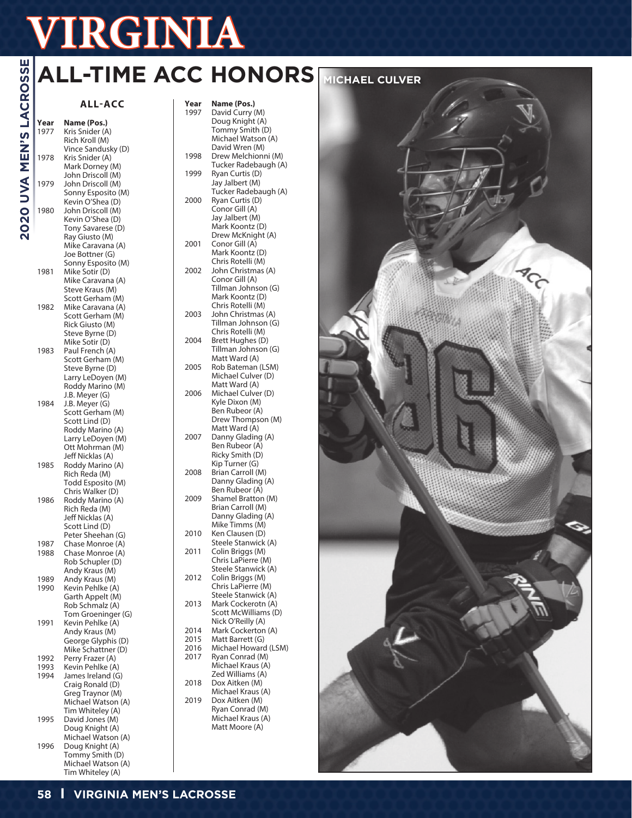# **VERE ACCHO**<br> **Vear Name (Pos.)**<br>
Year Name (Pos.)<br>
Year Name (Pos.)<br>
Year Name (Pos.)<br>
Year Name (Pos.)<br>
Year Name (Pos.)<br>
Year Name (Pos.)<br>
Year Name (Pos.)<br>
Year Name (Pos.)<br>
The Distribution of Bich Kroll (M)<br>
Year San **ALL-ACC Year Name (Pos.) Year Name (Pos.)** 1997 David Curry (M) Doug Knight (A) **ALL-TIME ACC HONORS MICHAEL CULVER**

# **2020 UVA MEN'S LACROSSE**

1977 Kris Snider (A)

|              | Rich Kroll (M)                         |
|--------------|----------------------------------------|
| 1978         | Vince Sandusky (D)<br>Kris Snider (A)  |
|              | Mark Dorney (M)                        |
|              | John Driscoll (M)                      |
| 1979         | John Driscoll (M)                      |
|              | Sonny Esposito (M)<br>Kevin O'Shea (D) |
| 1980         | John Driscoll (M)                      |
|              | Kevin O'Shea (D)                       |
|              | Tony Savarese (D)                      |
|              | Ray Giusto (M)<br>Mike Caravana (A)    |
|              | Joe Bottner (G)                        |
|              |                                        |
| 1981         | Sonny Esposito (M)<br>Mike Sotir (D)   |
|              | Mike Caravana (A)                      |
|              | Steve Kraus (M)<br>Scott Gerham (M)    |
| 1982         | Mike Caravana (A)                      |
|              | Scott Gerham (M)                       |
|              | Rick Giusto (M)                        |
|              | Steve Byrne (D)<br>Mike Sotir (D)      |
| 1983         | Paul French (A)                        |
|              | Scott Gerham (M)                       |
|              | Steve Byrne (D)                        |
|              | Larry LeDoyen (M)                      |
|              | Roddy Marino (M)                       |
| 1984         | J.B. Meyer (G)<br>J.B. Meyer (G)       |
|              | Scott Gerham (M)                       |
|              | Scott Lind (D)                         |
|              | Roddy Marino (A)                       |
|              | Larry LeDoyen (M)<br>Ott Mohrman (M)   |
|              | Jeff Nicklas (A)                       |
| 1985         | Roddy Marino (A)                       |
|              | Rich Reda (M)                          |
|              | Todd Esposito (M)<br>Chris Walker (D)  |
| 1986         | Roddy Marino (A)                       |
|              | Rich Reda (M)                          |
|              | Jeff Nicklas (A)                       |
|              | Scott Lind (D)                         |
| 1987         | Peter Sheehan (G)<br>Chase Monroe (A)  |
| 1988         | Chase Monroe (A)                       |
|              | Rob Schupler (D)                       |
|              | Andy Kraus (M)                         |
| 1989<br>1990 | Andy Kraus (M)<br>Kevin Pehlke (A)     |
|              |                                        |
|              | Garth Appelt (M)<br>Rob Schmalz (A)    |
|              | Tom Groeninger (G)                     |
| 1991         | Kevin Pehlke (A)<br>Andy Kraus (M)     |
|              | George Glyphis (D)                     |
|              | Mike Schattner (D)                     |
| 1992         | Perry Frazer (A)                       |
| 1993         | Kevin Pehlke (A)                       |
| 1994         | James Ireland (G)<br>Craig Ronald (D)  |
|              | Greg Traynor (M)                       |
|              | Michael Watson (A)                     |
|              | Tim Whiteley (A)                       |
| 1995         | David Jones (M)<br>Doug Knight (A)     |
|              | Michael Watson (A)                     |
| 1996         | Doug Knight (A)                        |

|      | Doug Knight (A)      |
|------|----------------------|
|      | Tommy Smith (D)      |
|      | Michael Watson (A)   |
|      | David Wren (M)       |
| 1998 | Drew Melchionni (M)  |
|      | Tucker Radebaugh (A) |
| 1999 | Ryan Curtis (D)      |
|      | Jay Jalbert (M)      |
|      | Tucker Radebaugh (A) |
|      |                      |
| 2000 | Ryan Curtis (D)      |
|      | Conor Gill (A)       |
|      | Jay Jalbert (M)      |
|      | Mark Koontz (D)      |
|      | Drew McKnight (A)    |
| 2001 | Conor Gill (A)       |
|      | Mark Koontz (D)      |
|      |                      |
|      | Chris Rotelli (M)    |
| 2002 | John Christmas (A)   |
|      | Conor Gill (A)       |
|      | Tillman Johnson (G)  |
|      | Mark Koontz (D)      |
|      | Chris Rotelli (M)    |
| 2003 | John Christmas (A)   |
|      |                      |
|      | Tillman Johnson (G)  |
|      | Chris Rotelli (M)    |
| 2004 | Brett Hughes (D)     |
|      | Tillman Johnson (G)  |
|      | Matt Ward (A)        |
| 2005 | Rob Bateman (LSM)    |
|      | Michael Culver (D)   |
|      |                      |
|      | Matt Ward (A)        |
| 2006 | Michael Culver (D)   |
|      | Kyle Dixon (M)       |
|      | Ben Rubeor (A)       |
|      | Drew Thompson (M)    |
|      | Matt Ward (A)        |
| 2007 | Danny Glading (A)    |
|      |                      |
|      | Ben Rubeor (A)       |
|      | Ricky Smith (D)      |
|      | Kip Turner (G)       |
| 2008 | Brian Carroll (M)    |
|      | Danny Glading (A)    |
|      | Ben Rubeor (A)       |
| 2009 | Shamel Bratton (M)   |
|      |                      |
|      | Brian Carroll (M)    |
|      | Danny Glading (A)    |
|      | Mike Timms (M)       |
| 2010 | Ken Clausen (D)      |
|      | Steele Stanwick (A)  |
| 2011 | Colin Briggs (M)     |
|      | Chris LaPierre (M)   |
|      |                      |
|      | Steele Stanwick (A)  |
| 2012 | Colin Briggs (M)     |
|      | Chris LaPierre (M)   |
|      | Steele Stanwick (A)  |
| 2013 | Mark Cockerotn (A)   |
|      | Scott McWilliams (D) |
|      | Nick O'Reilly (A)    |
|      |                      |
| 2014 | Mark Cockerton (A)   |
| 2015 | Matt Barrett (G)     |
| 2016 | Michael Howard (LSM) |
| 2017 | Ryan Conrad (M)      |
|      | Michael Kraus (A)    |
|      | Zed Williams (A)     |
| 2018 | Dox Aitken (M)       |
|      |                      |
|      | Michael Kraus (A)    |
| 2019 | Dox Aitken (M)       |
|      | Ryan Conrad (M)      |
|      | Michael Kraus (A)    |
|      | Matt Moore (A)       |
|      |                      |
|      |                      |
|      |                      |



Tommy Smith (D) Michael Watson (A) Tim Whiteley (A)